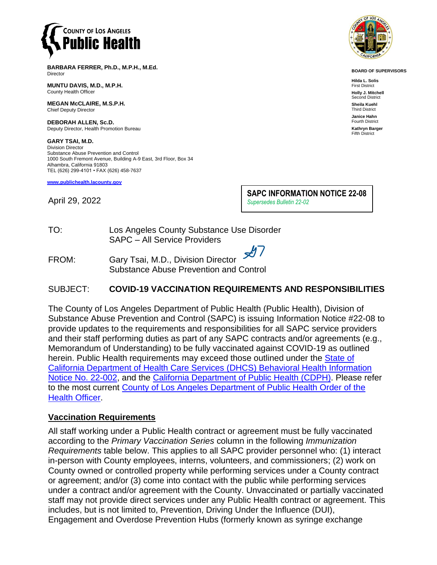

**BARBARA FERRER, Ph.D., M.P.H., M.Ed.** Director

**MUNTU DAVIS, M.D., M.P.H.** County Health Officer

**MEGAN McCLAIRE, M.S.P.H.** Chief Deputy Director

**DEBORAH ALLEN, Sc.D.** Deputy Director, Health Promotion Bureau

**GARY TSAI, M.D.** Division Director Substance Abuse Prevention and Control 1000 South Fremont Avenue, Building A-9 East, 3rd Floor, Box 34 Alhambra, California 91803 TEL (626) 299-4101 • FAX (626) 458-7637

**[www.publichealth.lacounty.gov](http://www.publichealth.lacounty.gov/)**

April 29, 2022

**SAPC INFORMATION NOTICE 22-08** *Supersedes Bulletin 22-02*

TO: Los Angeles County Substance Use Disorder SAPC – All Service Providers

FROM: Gary Tsai, M.D., Division Director Substance Abuse Prevention and Control

#### SUBJECT: **COVID-19 VACCINATION REQUIREMENTS AND RESPONSIBILITIES**

The County of Los Angeles Department of Public Health (Public Health), Division of Substance Abuse Prevention and Control (SAPC) is issuing Information Notice #22-08 to provide updates to the requirements and responsibilities for all SAPC service providers and their staff performing duties as part of any SAPC contracts and/or agreements (e.g., Memorandum of Understanding) to be fully vaccinated against COVID-19 as outlined herein. Public Health requirements may exceed those outlined under the State of [California Department of Health Care Services](https://www.dhcs.ca.gov/provgovpart/Documents/BHIN-22-002.pdf) (DHCS) Behavioral Health Information [Notice No. 22-002,](https://www.dhcs.ca.gov/provgovpart/Documents/BHIN-22-002.pdf) and the [California Department of Public Health](https://www.cdph.ca.gov/) (CDPH). Please refer to the most current County of Los Angeles Department of Public Health Order of the [Health Officer.](http://publichealth.lacounty.gov/media/Coronavirus/docs/HOO/HOO_HealthCareWorkerVaccination.pdf)

#### **Vaccination Requirements**

All staff working under a Public Health contract or agreement must be fully vaccinated according to the *Primary Vaccination Series* column in the following *Immunization Requirements* table below. This applies to all SAPC provider personnel who: (1) interact in-person with County employees, interns, volunteers, and commissioners; (2) work on County owned or controlled property while performing services under a County contract or agreement; and/or (3) come into contact with the public while performing services under a contract and/or agreement with the County. Unvaccinated or partially vaccinated staff may not provide direct services under any Public Health contract or agreement. This includes, but is not limited to, Prevention, Driving Under the Influence (DUI), Engagement and Overdose Prevention Hubs (formerly known as syringe exchange



**BOARD OF SUPERVISORS**

**Hilda L. Solis** First District **Holly J. Mitchell** Second District **Sheila Kuehl** Third District **Janice Hahn** Fourth District **Kathryn Barger** Fifth District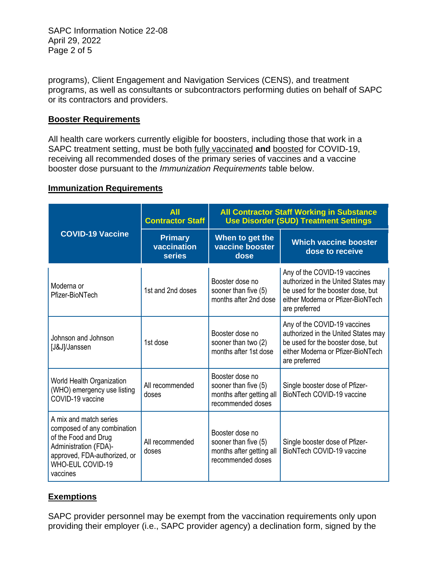SAPC Information Notice 22-08 April 29, 2022 Page 2 of 5

programs), Client Engagement and Navigation Services (CENS), and treatment programs, as well as consultants or subcontractors performing duties on behalf of SAPC or its contractors and providers.

### **Booster Requirements**

All health care workers currently eligible for boosters, including those that work in a SAPC treatment setting, must be both fully vaccinated **and** boosted for COVID-19, receiving all recommended doses of the primary series of vaccines and a vaccine booster dose pursuant to the *Immunization Requirements* table below.

#### **Immunization Requirements**

| <b>COVID-19 Vaccine</b>                                                                                                                                                       | <b>All</b><br><b>Contractor Staff</b>          | <b>All Contractor Staff Working in Substance</b><br><b>Use Disorder (SUD) Treatment Settings</b> |                                                                                                                                                                |
|-------------------------------------------------------------------------------------------------------------------------------------------------------------------------------|------------------------------------------------|--------------------------------------------------------------------------------------------------|----------------------------------------------------------------------------------------------------------------------------------------------------------------|
|                                                                                                                                                                               | <b>Primary</b><br>vaccination<br><b>series</b> | When to get the<br>vaccine booster<br>dose                                                       | <b>Which vaccine booster</b><br>dose to receive                                                                                                                |
| Moderna or<br>Pfizer-BioNTech                                                                                                                                                 | 1st and 2nd doses                              | Booster dose no<br>sooner than five (5)<br>months after 2nd dose                                 | Any of the COVID-19 vaccines<br>authorized in the United States may<br>be used for the booster dose, but<br>either Moderna or Pfizer-BioNTech<br>are preferred |
| Johnson and Johnson<br>[J&J]/Janssen                                                                                                                                          | 1st dose                                       | Booster dose no<br>sooner than two (2)<br>months after 1st dose                                  | Any of the COVID-19 vaccines<br>authorized in the United States may<br>be used for the booster dose, but<br>either Moderna or Pfizer-BioNTech<br>are preferred |
| World Health Organization<br>(WHO) emergency use listing<br>COVID-19 vaccine                                                                                                  | All recommended<br>doses                       | Booster dose no<br>sooner than five (5)<br>months after getting all<br>recommended doses         | Single booster dose of Pfizer-<br>BioNTech COVID-19 vaccine                                                                                                    |
| A mix and match series<br>composed of any combination<br>of the Food and Drug<br>Administration (FDA)-<br>approved, FDA-authorized, or<br><b>WHO-EUL COVID-19</b><br>vaccines | All recommended<br>doses                       | Booster dose no<br>sooner than five (5)<br>months after getting all<br>recommended doses         | Single booster dose of Pfizer-<br>BioNTech COVID-19 vaccine                                                                                                    |

## **Exemptions**

SAPC provider personnel may be exempt from the vaccination requirements only upon providing their employer (i.e., SAPC provider agency) a declination form, signed by the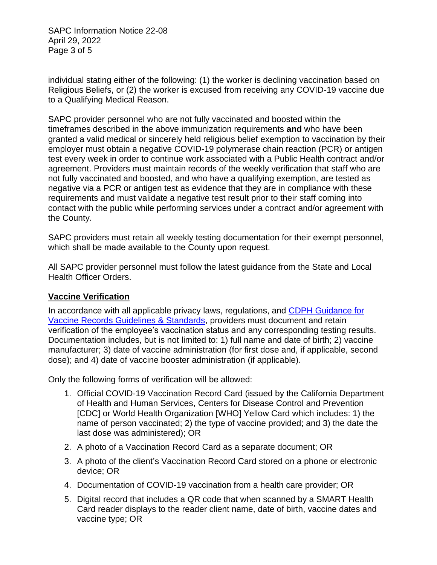SAPC Information Notice 22-08 April 29, 2022 Page 3 of 5

individual stating either of the following: (1) the worker is declining vaccination based on Religious Beliefs, or (2) the worker is excused from receiving any COVID-19 vaccine due to a Qualifying Medical Reason.

SAPC provider personnel who are not fully vaccinated and boosted within the timeframes described in the above immunization requirements **and** who have been granted a valid medical or sincerely held religious belief exemption to vaccination by their employer must obtain a negative COVID-19 polymerase chain reaction (PCR) or antigen test every week in order to continue work associated with a Public Health contract and/or agreement. Providers must maintain records of the weekly verification that staff who are not fully vaccinated and boosted, and who have a qualifying exemption, are tested as negative via a PCR or antigen test as evidence that they are in compliance with these requirements and must validate a negative test result prior to their staff coming into contact with the public while performing services under a contract and/or agreement with the County.

SAPC providers must retain all weekly testing documentation for their exempt personnel, which shall be made available to the County upon request.

All SAPC provider personnel must follow the latest guidance from the State and Local Health Officer Orders.

## **Vaccine Verification**

In accordance with all applicable privacy laws, regulations, and [CDPH Guidance for](https://www.cdph.ca.gov/Programs/CID/DCDC/Pages/COVID-19/Vaccine-Record-Guidelines-Standards.aspx)  [Vaccine Records Guidelines & Standards,](https://www.cdph.ca.gov/Programs/CID/DCDC/Pages/COVID-19/Vaccine-Record-Guidelines-Standards.aspx) providers must document and retain verification of the employee's vaccination status and any corresponding testing results. Documentation includes, but is not limited to: 1) full name and date of birth; 2) vaccine manufacturer; 3) date of vaccine administration (for first dose and, if applicable, second dose); and 4) date of vaccine booster administration (if applicable).

Only the following forms of verification will be allowed:

- 1. Official COVID-19 Vaccination Record Card (issued by the California Department of Health and Human Services, Centers for Disease Control and Prevention [CDC] or World Health Organization [WHO] Yellow Card which includes: 1) the name of person vaccinated; 2) the type of vaccine provided; and 3) the date the last dose was administered); OR
- 2. A photo of a Vaccination Record Card as a separate document; OR
- 3. A photo of the client's Vaccination Record Card stored on a phone or electronic device; OR
- 4. Documentation of COVID-19 vaccination from a health care provider; OR
- 5. Digital record that includes a QR code that when scanned by a SMART Health Card reader displays to the reader client name, date of birth, vaccine dates and vaccine type; OR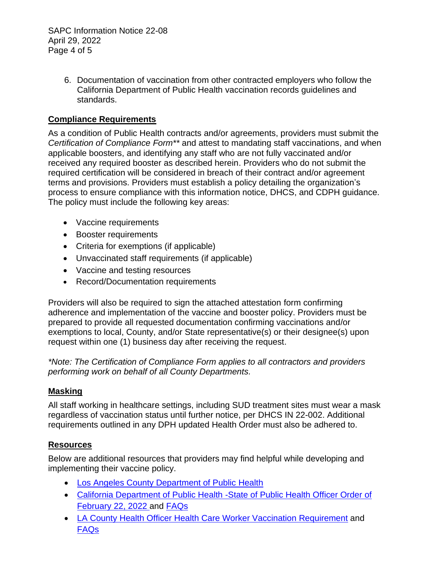SAPC Information Notice 22-08 April 29, 2022 Page 4 of 5

> 6. Documentation of vaccination from other contracted employers who follow the California Department of Public Health vaccination records guidelines and standards.

## **Compliance Requirements**

As a condition of Public Health contracts and/or agreements, providers must submit the *Certification of Compliance Form\*\** and attest to mandating staff vaccinations, and when applicable boosters, and identifying any staff who are not fully vaccinated and/or received any required booster as described herein. Providers who do not submit the required certification will be considered in breach of their contract and/or agreement terms and provisions. Providers must establish a policy detailing the organization's process to ensure compliance with this information notice, DHCS, and CDPH guidance. The policy must include the following key areas:

- Vaccine requirements
- Booster requirements
- Criteria for exemptions (if applicable)
- Unvaccinated staff requirements (if applicable)
- Vaccine and testing resources
- Record/Documentation requirements

Providers will also be required to sign the attached attestation form confirming adherence and implementation of the vaccine and booster policy. Providers must be prepared to provide all requested documentation confirming vaccinations and/or exemptions to local, County, and/or State representative(s) or their designee(s) upon request within one (1) business day after receiving the request.

*\*Note: The Certification of Compliance Form applies to all contractors and providers performing work on behalf of all County Departments.*

## **Masking**

All staff working in healthcare settings, including SUD treatment sites must wear a mask regardless of vaccination status until further notice, per DHCS IN 22-002. Additional requirements outlined in any DPH updated Health Order must also be adhered to.

# **Resources**

Below are additional resources that providers may find helpful while developing and implementing their vaccine policy.

- [Los Angeles County Department of Public](http://publichealth.lacounty.gov/media/Coronavirus/reopening-la.htm#orders) Health
- [California Department of Public Health -State of Public Health Officer Order of](https://www.cdph.ca.gov/Programs/CID/DCDC/Pages/COVID-19/Order-of-the-State-Public-Health-Officer-Health-Care-Worker-Vaccine-Requirement.aspx)  [February 22, 2022](https://www.cdph.ca.gov/Programs/CID/DCDC/Pages/COVID-19/Order-of-the-State-Public-Health-Officer-Health-Care-Worker-Vaccine-Requirement.aspx) and [FAQs](http://www.cdph.ca.gov/Programs/CID/DCDC/Pages/COVID-19/FAQ-Health-Care-Worker-Vaccine-Requirement.aspx)
- LA County Health Officer Health Care Worker Vaccination [Requirement](http://publichealth.lacounty.gov/media/Coronavirus/docs/HOO/HOO_HealthCareWorkerVaccination.pdf) and [FAQs](http://publichealth.lacounty.gov/media/Coronavirus/docs/HOO/FAQ-HealthCareWorkerVaccination.pdf)